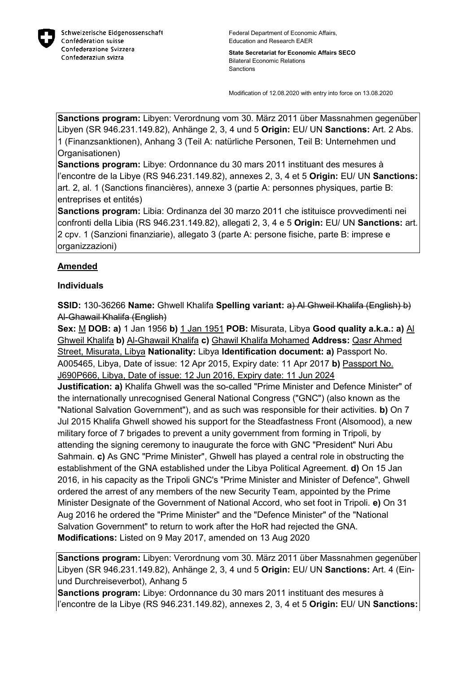

**State Secretariat for Economic Affairs SECO** Bilateral Economic Relations **Sanctions** 

Modification of 12.08.2020 with entry into force on 13.08.2020

**Sanctions program:** Libyen: Verordnung vom 30. März 2011 über Massnahmen gegenüber Libyen (SR 946.231.149.82), Anhänge 2, 3, 4 und 5 **Origin:** EU/ UN **Sanctions:** Art. 2 Abs. 1 (Finanzsanktionen), Anhang 3 (Teil A: natürliche Personen, Teil B: Unternehmen und Organisationen)

**Sanctions program:** Libye: Ordonnance du 30 mars 2011 instituant des mesures à l'encontre de la Libye (RS 946.231.149.82), annexes 2, 3, 4 et 5 **Origin:** EU/ UN **Sanctions:** art. 2, al. 1 (Sanctions financières), annexe 3 (partie A: personnes physiques, partie B: entreprises et entités)

**Sanctions program:** Libia: Ordinanza del 30 marzo 2011 che istituisce provvedimenti nei confronti della Libia (RS 946.231.149.82), allegati 2, 3, 4 e 5 **Origin:** EU/ UN **Sanctions:** art. 2 cpv. 1 (Sanzioni finanziarie), allegato 3 (parte A: persone fisiche, parte B: imprese e organizzazioni)

## **Amended**

## **Individuals**

**SSID:** 130-36266 **Name:** Ghwell Khalifa **Spelling variant:** a) Al Ghweil Khalifa (English) b) Al-Ghawail Khalifa (English)

**Sex:** M **DOB: a)** 1 Jan 1956 **b)** 1 Jan 1951 **POB:** Misurata, Libya **Good quality a.k.a.: a)** Al Ghweil Khalifa **b)** Al-Ghawail Khalifa **c)** Ghawil Khalifa Mohamed **Address:** Qasr Ahmed Street, Misurata, Libya **Nationality:** Libya **Identification document: a)** Passport No. A005465, Libya, Date of issue: 12 Apr 2015, Expiry date: 11 Apr 2017 **b)** Passport No. J690P666, Libya, Date of issue: 12 Jun 2016, Expiry date: 11 Jun 2024

**Justification: a)** Khalifa Ghwell was the so-called "Prime Minister and Defence Minister" of the internationally unrecognised General National Congress ("GNC") (also known as the "National Salvation Government"), and as such was responsible for their activities. **b)** On 7 Jul 2015 Khalifa Ghwell showed his support for the Steadfastness Front (Alsomood), a new military force of 7 brigades to prevent a unity government from forming in Tripoli, by attending the signing ceremony to inaugurate the force with GNC "President" Nuri Abu Sahmain. **c)** As GNC "Prime Minister", Ghwell has played a central role in obstructing the establishment of the GNA established under the Libya Political Agreement. **d)** On 15 Jan 2016, in his capacity as the Tripoli GNC's "Prime Minister and Minister of Defence", Ghwell ordered the arrest of any members of the new Security Team, appointed by the Prime Minister Designate of the Government of National Accord, who set foot in Tripoli. **e)** On 31 Aug 2016 he ordered the "Prime Minister" and the "Defence Minister" of the "National Salvation Government" to return to work after the HoR had rejected the GNA. **Modifications:** Listed on 9 May 2017, amended on 13 Aug 2020

**Sanctions program:** Libyen: Verordnung vom 30. März 2011 über Massnahmen gegenüber Libyen (SR 946.231.149.82), Anhänge 2, 3, 4 und 5 **Origin:** EU/ UN **Sanctions:** Art. 4 (Einund Durchreiseverbot), Anhang 5

**Sanctions program:** Libye: Ordonnance du 30 mars 2011 instituant des mesures à l'encontre de la Libye (RS 946.231.149.82), annexes 2, 3, 4 et 5 **Origin:** EU/ UN **Sanctions:**